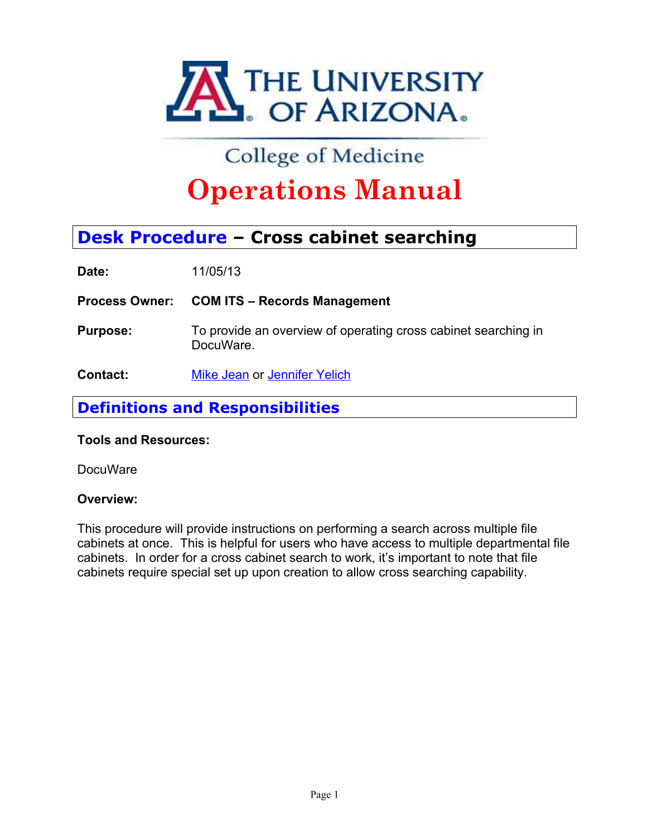

# **Operations Manual**

**Date:** 11/05/13

- **Process Operations Manual Desk Procedure Cross cabinet searching<br>Desk Procedure Cross cabinet searching<br>Date:** 11/05/13<br>Process Owner: COM ITS Records Management<br>Purpose: To provide an overview of operating cross ca **Purpose:** To provide an overview of operating cross cabinet searching in DocuWare.
- **Contact:** Mike Jean or Jennifer Yelich

# **Definitions and Responsibilities**

# **Tools and Resources:**

# **DocuWare**

# **Overview:**

This procedure will provide instructions on performing a search across multiple file cabinets at once. This is helpful for users who have access to multiple departmental file cabinets. In order for a cross cabinet search to work, it's important to note that file cabinets require special set up upon creation to allow cross searching capability.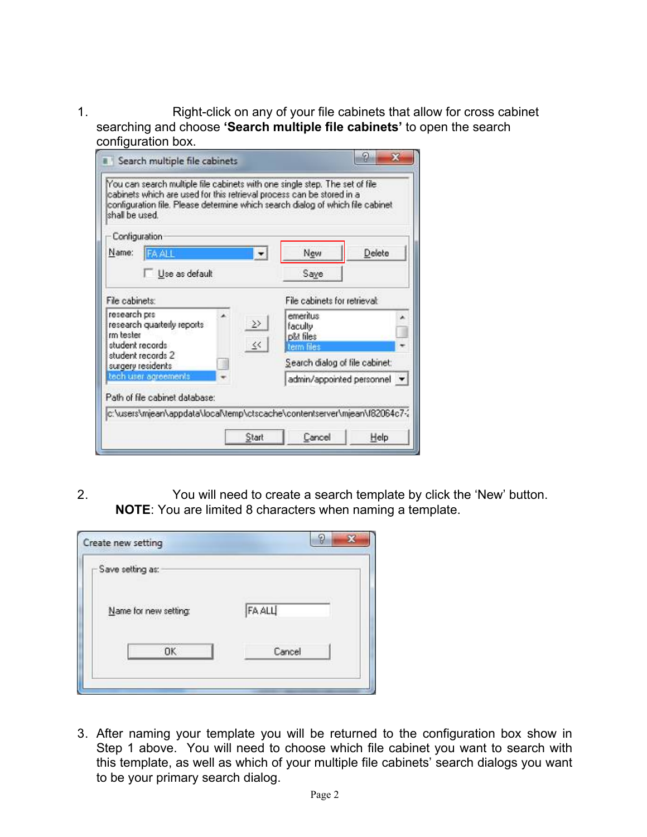1. Right-click on any of your file cabinets that allow for cross cabinet searching and choose **'Search multiple file cabinets'** to open the search configuration box.

| shall be used.            | You can search multiple file cabinets with one single step. The set of file<br>cabinets which are used for this retrieval process can be stored in a<br>configuration file. Please determine which search dialog of which file cabinet |                              |                                                |                             |
|---------------------------|----------------------------------------------------------------------------------------------------------------------------------------------------------------------------------------------------------------------------------------|------------------------------|------------------------------------------------|-----------------------------|
| Configuration             |                                                                                                                                                                                                                                        |                              |                                                |                             |
| Name:                     | <b>FA ALL</b>                                                                                                                                                                                                                          |                              | New                                            | Delete                      |
|                           | Use as default                                                                                                                                                                                                                         |                              | Save                                           |                             |
| File cabinets:            |                                                                                                                                                                                                                                        | File cabinets for retrieval: |                                                |                             |
| research prs<br>rm bester | research quarterly reports<br>student records<br>student records 2                                                                                                                                                                     | $\gg$<br>$\leq$              | emeritus<br>faculty<br>p&t files<br>term files |                             |
| surgery residents         |                                                                                                                                                                                                                                        |                              | Search dialog of file cabinet:                 |                             |
|                           | tech user agreements                                                                                                                                                                                                                   |                              |                                                | admin/appointed personnel * |
|                           | Path of file cabinet database:                                                                                                                                                                                                         |                              |                                                |                             |
|                           | c:\users\mjean\appdata\local\temp\ctscache\contentserver\mjean\f82064c7-2                                                                                                                                                              |                              |                                                |                             |
|                           |                                                                                                                                                                                                                                        | Start                        | Cancel                                         | Help                        |

2. You will need to create a search template by click the 'New' button. **NOTE**: You are limited 8 characters when naming a template.

| - Save setting as:    |              |
|-----------------------|--------------|
| Name for new setting: | <b>FAALL</b> |
| <b>OK</b>             | Cancel       |

3. After naming your template you will be returned to the configuration box show in Step 1 above. You will need to choose which file cabinet you want to search with this template, as well as which of your multiple file cabinets' search dialogs you want to be your primary search dialog.